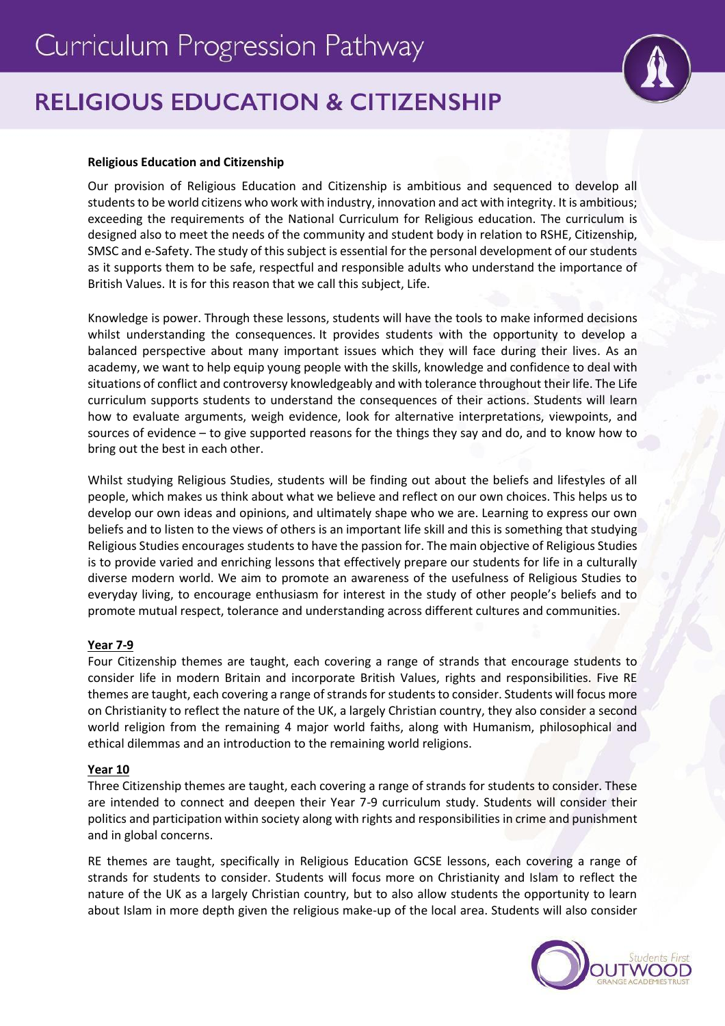# **RELIGIOUS EDUCATION & CITIZENSHIP**

## **Religious Education and Citizenship**

Our provision of Religious Education and Citizenship is ambitious and sequenced to develop all students to be world citizens who work with industry, innovation and act with integrity. It is ambitious; exceeding the requirements of the National Curriculum for Religious education. The curriculum is designed also to meet the needs of the community and student body in relation to RSHE, Citizenship, SMSC and e-Safety. The study of this subject is essential for the personal development of our students as it supports them to be safe, respectful and responsible adults who understand the importance of British Values. It is for this reason that we call this subject, Life.

Knowledge is power. Through these lessons, students will have the tools to make informed decisions whilst understanding the consequences. It provides students with the opportunity to develop a balanced perspective about many important issues which they will face during their lives. As an academy, we want to help equip young people with the skills, knowledge and confidence to deal with situations of conflict and controversy knowledgeably and with tolerance throughout their life. The Life curriculum supports students to understand the consequences of their actions. Students will learn how to evaluate arguments, weigh evidence, look for alternative interpretations, viewpoints, and sources of evidence – to give supported reasons for the things they say and do, and to know how to bring out the best in each other.

Whilst studying Religious Studies, students will be finding out about the beliefs and lifestyles of all people, which makes us think about what we believe and reflect on our own choices. This helps us to develop our own ideas and opinions, and ultimately shape who we are. Learning to express our own beliefs and to listen to the views of others is an important life skill and this is something that studying Religious Studies encourages students to have the passion for. The main objective of Religious Studies is to provide varied and enriching lessons that effectively prepare our students for life in a culturally diverse modern world. We aim to promote an awareness of the usefulness of Religious Studies to everyday living, to encourage enthusiasm for interest in the study of other people's beliefs and to promote mutual respect, tolerance and understanding across different cultures and communities.

### **Year 7-9**

Four Citizenship themes are taught, each covering a range of strands that encourage students to consider life in modern Britain and incorporate British Values, rights and responsibilities. Five RE themes are taught, each covering a range of strands for students to consider. Students will focus more on Christianity to reflect the nature of the UK, a largely Christian country, they also consider a second world religion from the remaining 4 major world faiths, along with Humanism, philosophical and ethical dilemmas and an introduction to the remaining world religions.

### **Year 10**

Three Citizenship themes are taught, each covering a range of strands for students to consider. These are intended to connect and deepen their Year 7-9 curriculum study. Students will consider their politics and participation within society along with rights and responsibilities in crime and punishment and in global concerns.

RE themes are taught, specifically in Religious Education GCSE lessons, each covering a range of strands for students to consider. Students will focus more on Christianity and Islam to reflect the nature of the UK as a largely Christian country, but to also allow students the opportunity to learn about Islam in more depth given the religious make-up of the local area. Students will also consider



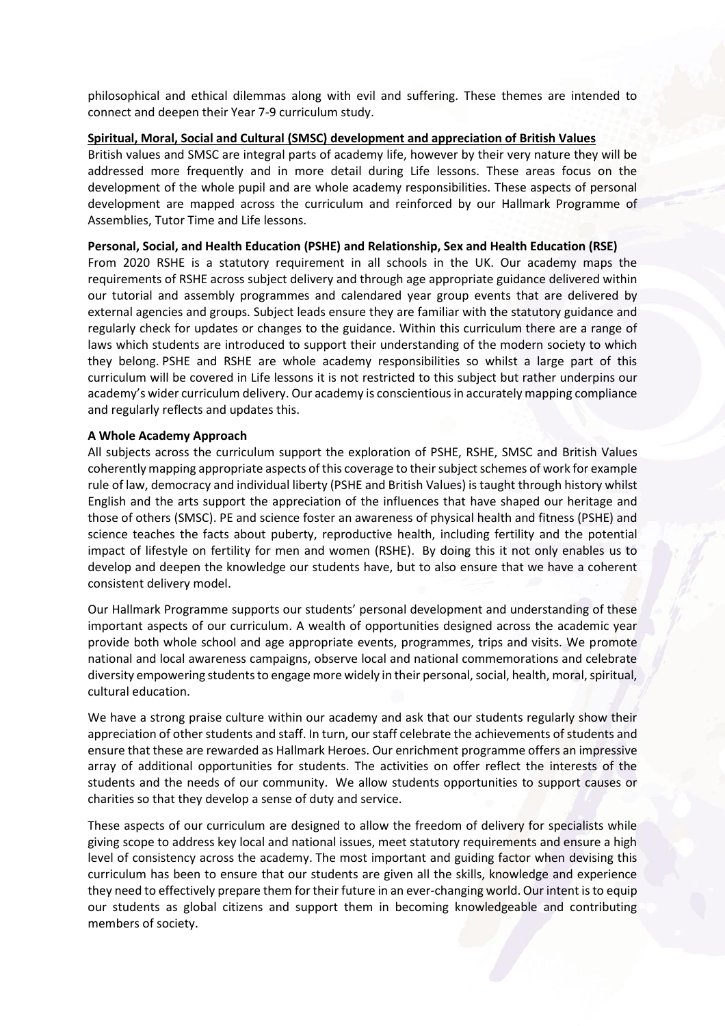philosophical and ethical dilemmas along with evil and suffering. These themes are intended to connect and deepen their Year 7-9 curriculum study.

### **Spiritual, Moral, Social and Cultural (SMSC) development and appreciation of British Values**

British values and SMSC are integral parts of academy life, however by their very nature they will be addressed more frequently and in more detail during Life lessons. These areas focus on the development of the whole pupil and are whole academy responsibilities. These aspects of personal development are mapped across the curriculum and reinforced by our Hallmark Programme of Assemblies, Tutor Time and Life lessons.

#### **Personal, Social, and Health Education (PSHE) and Relationship, Sex and Health Education (RSE)**

From 2020 RSHE is a statutory requirement in all schools in the UK. Our academy maps the requirements of RSHE across subject delivery and through age appropriate guidance delivered within our tutorial and assembly programmes and calendared year group events that are delivered by external agencies and groups. Subject leads ensure they are familiar with the statutory guidance and regularly check for updates or changes to the guidance. Within this curriculum there are a range of laws which students are introduced to support their understanding of the modern society to which they belong. PSHE and RSHE are whole academy responsibilities so whilst a large part of this curriculum will be covered in Life lessons it is not restricted to this subject but rather underpins our academy's wider curriculum delivery. Our academy is conscientious in accurately mapping compliance and regularly reflects and updates this.

### **A Whole Academy Approach**

All subjects across the curriculum support the exploration of PSHE, RSHE, SMSC and British Values coherently mapping appropriate aspects of this coverage to their subject schemes of work for example rule of law, democracy and individual liberty (PSHE and British Values) is taught through history whilst English and the arts support the appreciation of the influences that have shaped our heritage and those of others (SMSC). PE and science foster an awareness of physical health and fitness (PSHE) and science teaches the facts about puberty, reproductive health, including fertility and the potential impact of lifestyle on fertility for men and women (RSHE). By doing this it not only enables us to develop and deepen the knowledge our students have, but to also ensure that we have a coherent consistent delivery model.

Our Hallmark Programme supports our students' personal development and understanding of these important aspects of our curriculum. A wealth of opportunities designed across the academic year provide both whole school and age appropriate events, programmes, trips and visits. We promote national and local awareness campaigns, observe local and national commemorations and celebrate diversity empowering students to engage more widely in their personal, social, health, moral, spiritual, cultural education.

We have a strong praise culture within our academy and ask that our students regularly show their appreciation of other students and staff. In turn, our staff celebrate the achievements of students and ensure that these are rewarded as Hallmark Heroes. Our enrichment programme offers an impressive array of additional opportunities for students. The activities on offer reflect the interests of the students and the needs of our community. We allow students opportunities to support causes or charities so that they develop a sense of duty and service.

These aspects of our curriculum are designed to allow the freedom of delivery for specialists while giving scope to address key local and national issues, meet statutory requirements and ensure a high level of consistency across the academy. The most important and guiding factor when devising this curriculum has been to ensure that our students are given all the skills, knowledge and experience they need to effectively prepare them for their future in an ever-changing world. Our intent is to equip our students as global citizens and support them in becoming knowledgeable and contributing members of society.